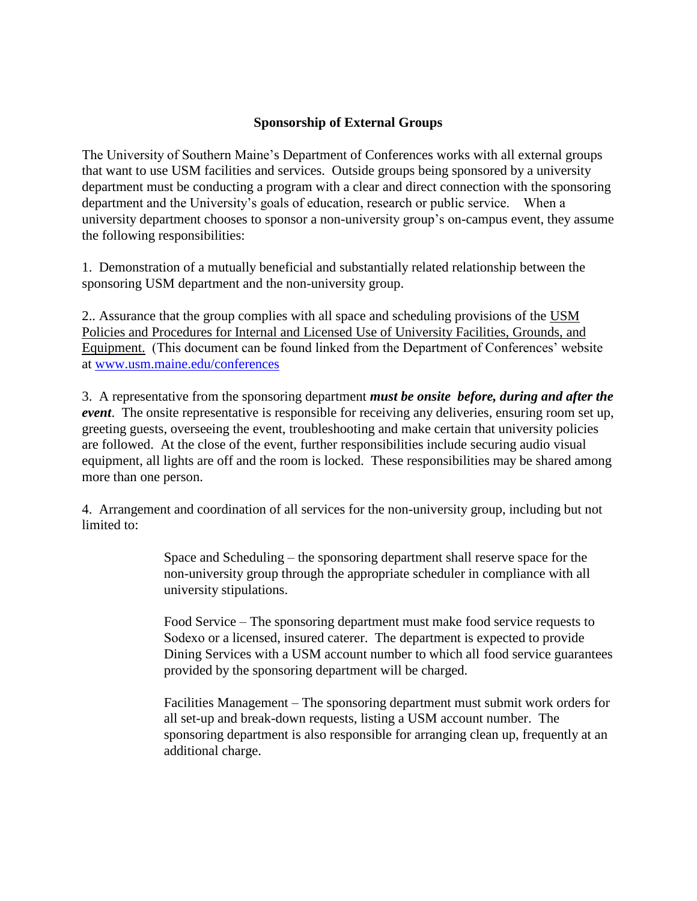## **Sponsorship of External Groups**

The University of Southern Maine's Department of Conferences works with all external groups that want to use USM facilities and services. Outside groups being sponsored by a university department must be conducting a program with a clear and direct connection with the sponsoring department and the University's goals of education, research or public service. When a university department chooses to sponsor a non-university group's on-campus event, they assume the following responsibilities:

1. Demonstration of a mutually beneficial and substantially related relationship between the sponsoring USM department and the non-university group.

2.. Assurance that the group complies with all space and scheduling provisions of the USM Policies and Procedures for Internal and Licensed Use of University Facilities, Grounds, and Equipment. (This document can be found linked from the Department of Conferences' website at [www.usm.maine.edu/conferences](http://www.usm.maine.edu/conferences)

3. A representative from the sponsoring department *must be onsite before, during and after the event*. The onsite representative is responsible for receiving any deliveries, ensuring room set up, greeting guests, overseeing the event, troubleshooting and make certain that university policies are followed. At the close of the event, further responsibilities include securing audio visual equipment, all lights are off and the room is locked. These responsibilities may be shared among more than one person.

4. Arrangement and coordination of all services for the non-university group, including but not limited to:

> Space and Scheduling – the sponsoring department shall reserve space for the non-university group through the appropriate scheduler in compliance with all university stipulations.

Food Service – The sponsoring department must make food service requests to Sodexo or a licensed, insured caterer. The department is expected to provide Dining Services with a USM account number to which all food service guarantees provided by the sponsoring department will be charged.

Facilities Management – The sponsoring department must submit work orders for all set-up and break-down requests, listing a USM account number. The sponsoring department is also responsible for arranging clean up, frequently at an additional charge.